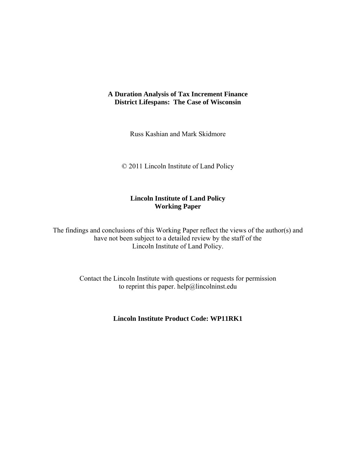## **A Duration Analysis of Tax Increment Finance District Lifespans: The Case of Wisconsin**

Russ Kashian and Mark Skidmore

© 2011 Lincoln Institute of Land Policy

# **Lincoln Institute of Land Policy Working Paper**

The findings and conclusions of this Working Paper reflect the views of the author(s) and have not been subject to a detailed review by the staff of the Lincoln Institute of Land Policy.

> Contact the Lincoln Institute with questions or requests for permission to reprint this paper. help@lincolninst.edu

> > **Lincoln Institute Product Code: WP11RK1**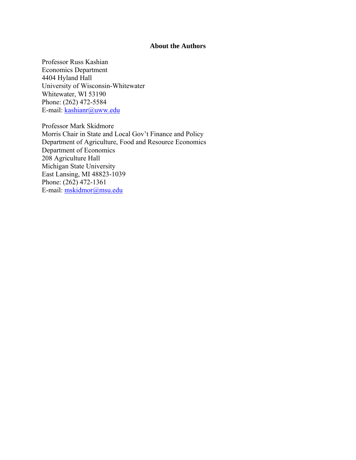### **About the Authors**

Professor Russ Kashian Economics Department 4404 Hyland Hall University of Wisconsin-Whitewater Whitewater, WI 53190 Phone: (262) 472-5584 E-mail: kashianr@uww.edu

Professor Mark Skidmore Morris Chair in State and Local Gov't Finance and Policy Department of Agriculture, Food and Resource Economics Department of Economics 208 Agriculture Hall Michigan State University East Lansing, MI 48823-1039 Phone: (262) 472-1361 E-mail: mskidmor@msu.edu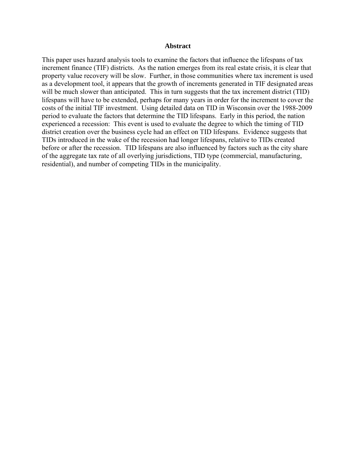#### **Abstract**

This paper uses hazard analysis tools to examine the factors that influence the lifespans of tax increment finance (TIF) districts. As the nation emerges from its real estate crisis, it is clear that property value recovery will be slow. Further, in those communities where tax increment is used as a development tool, it appears that the growth of increments generated in TIF designated areas will be much slower than anticipated. This in turn suggests that the tax increment district (TID) lifespans will have to be extended, perhaps for many years in order for the increment to cover the costs of the initial TIF investment. Using detailed data on TID in Wisconsin over the 1988-2009 period to evaluate the factors that determine the TID lifespans. Early in this period, the nation experienced a recession: This event is used to evaluate the degree to which the timing of TID district creation over the business cycle had an effect on TID lifespans. Evidence suggests that TIDs introduced in the wake of the recession had longer lifespans, relative to TIDs created before or after the recession. TID lifespans are also influenced by factors such as the city share of the aggregate tax rate of all overlying jurisdictions, TID type (commercial, manufacturing, residential), and number of competing TIDs in the municipality.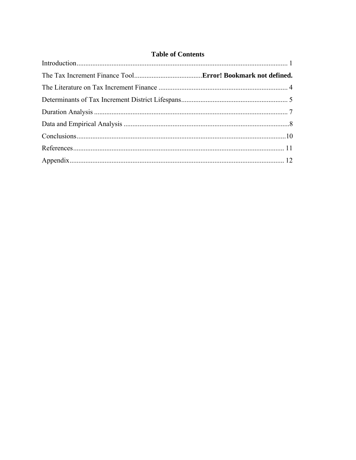# **Table of Contents**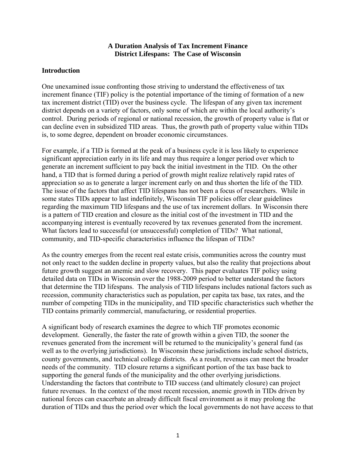#### **A Duration Analysis of Tax Increment Finance District Lifespans: The Case of Wisconsin**

## **Introduction**

One unexamined issue confronting those striving to understand the effectiveness of tax increment finance (TIF) policy is the potential importance of the timing of formation of a new tax increment district (TID) over the business cycle. The lifespan of any given tax increment district depends on a variety of factors, only some of which are within the local authority's control. During periods of regional or national recession, the growth of property value is flat or can decline even in subsidized TID areas. Thus, the growth path of property value within TIDs is, to some degree, dependent on broader economic circumstances.

For example, if a TID is formed at the peak of a business cycle it is less likely to experience significant appreciation early in its life and may thus require a longer period over which to generate an increment sufficient to pay back the initial investment in the TID. On the other hand, a TID that is formed during a period of growth might realize relatively rapid rates of appreciation so as to generate a larger increment early on and thus shorten the life of the TID. The issue of the factors that affect TID lifespans has not been a focus of researchers. While in some states TIDs appear to last indefinitely, Wisconsin TIF policies offer clear guidelines regarding the maximum TID lifespans and the use of tax increment dollars. In Wisconsin there is a pattern of TID creation and closure as the initial cost of the investment in TID and the accompanying interest is eventually recovered by tax revenues generated from the increment. What factors lead to successful (or unsuccessful) completion of TIDs? What national, community, and TID-specific characteristics influence the lifespan of TIDs?

As the country emerges from the recent real estate crisis, communities across the country must not only react to the sudden decline in property values, but also the reality that projections about future growth suggest an anemic and slow recovery. This paper evaluates TIF policy using detailed data on TIDs in Wisconsin over the 1988-2009 period to better understand the factors that determine the TID lifespans. The analysis of TID lifespans includes national factors such as recession, community characteristics such as population, per capita tax base, tax rates, and the number of competing TIDs in the municipality, and TID specific characteristics such whether the TID contains primarily commercial, manufacturing, or residential properties.

A significant body of research examines the degree to which TIF promotes economic development. Generally, the faster the rate of growth within a given TID, the sooner the revenues generated from the increment will be returned to the municipality's general fund (as well as to the overlying jurisdictions). In Wisconsin these jurisdictions include school districts, county governments, and technical college districts. As a result, revenues can meet the broader needs of the community. TID closure returns a significant portion of the tax base back to supporting the general funds of the municipality and the other overlying jurisdictions. Understanding the factors that contribute to TID success (and ultimately closure) can project future revenues. In the context of the most recent recession, anemic growth in TIDs driven by national forces can exacerbate an already difficult fiscal environment as it may prolong the duration of TIDs and thus the period over which the local governments do not have access to that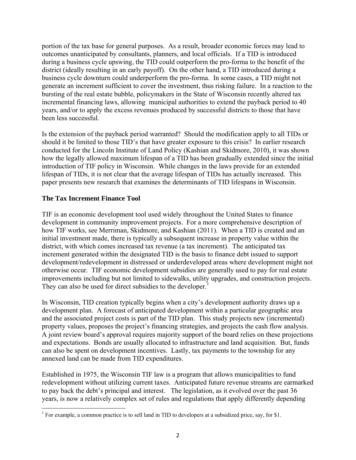portion of the tax base for general purposes. As a result, broader economic forces may lead to outcomes unanticipated by consultants, planners, and local officials. If a TID is introduced during a business cycle upswing, the TID could outperform the pro-forma to the benefit of the district (ideally resulting in an early payoff). On the other hand, a TID introduced during a business cycle downturn could underperform the pro-forma. In some cases, a TID might not generate an increment sufficient to cover the investment, thus risking failure. In a reaction to the bursting of the real estate bubble, policymakers in the State of Wisconsin recently altered tax incremental financing laws, allowing municipal authorities to extend the payback period to 40 years, and/or to apply the excess revenues produced by successful districts to those that have been less successful.

Is the extension of the payback period warranted? Should the modification apply to all TIDs or should it be limited to those TID's that have greater exposure to this crisis? In earlier research conducted for the Lincoln Institute of Land Policy (Kashian and Skidmore, 2010), it was shown how the legally allowed maximum lifespan of a TID has been gradually extended since the initial introduction of TIF policy in Wisconsin. While changes in the laws provide for an extended lifespan of TIDs, it is not clear that the average lifespan of TIDs has actually increased. This paper presents new research that examines the determinants of TID lifespans in Wisconsin.

# **The Tax Increment Finance Tool**

TIF is an economic development tool used widely throughout the United States to finance development in community improvement projects. For a more comprehensive description of how TIF works, see Merriman, Skidmore, and Kashian (2011). When a TID is created and an initial investment made, there is typically a subsequent increase in property value within the district, with which comes increased tax revenue (a tax increment). The anticipated tax increment generated within the designated TID is the basis to finance debt issued to support development/redevelopment in distressed or underdeveloped areas where development might not otherwise occur. TIF economic development subsidies are generally used to pay for real estate improvements including but not limited to sidewalks, utility upgrades, and construction projects. They can also be used for direct subsidies to the developer.<sup>1</sup>

In Wisconsin, TID creation typically begins when a city's development authority draws up a development plan. A forecast of anticipated development within a particular geographic area and the associated project costs is part of the TID plan. This study projects new (incremental) property values, proposes the project's financing strategies, and projects the cash flow analysis. A joint review board's approval requires majority support of the board relies on these projections and expectations. Bonds are usually allocated to infrastructure and land acquisition. But, funds can also be spent on development incentives. Lastly, tax payments to the township for any annexed land can be made from TID expenditures.

Established in 1975, the Wisconsin TIF law is a program that allows municipalities to fund redevelopment without utilizing current taxes. Anticipated future revenue streams are earmarked to pay back the debt's principal and interest. The legislation, as it evolved over the past 36 years, is now a relatively complex set of rules and regulations that apply differently depending

<sup>&</sup>lt;sup>1</sup> For example, a common practice is to sell land in TID to developers at a subsidized price, say, for \$1.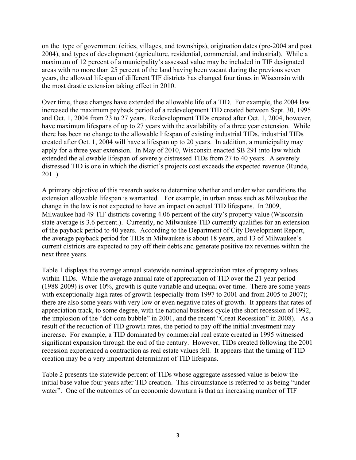on the type of government (cities, villages, and townships), origination dates (pre-2004 and post 2004), and types of development (agriculture, residential, commercial, and industrial). While a maximum of 12 percent of a municipality's assessed value may be included in TIF designated areas with no more than 25 percent of the land having been vacant during the previous seven years, the allowed lifespan of different TIF districts has changed four times in Wisconsin with the most drastic extension taking effect in 2010.

Over time, these changes have extended the allowable life of a TID. For example, the 2004 law increased the maximum payback period of a redevelopment TID created between Sept. 30, 1995 and Oct. 1, 2004 from 23 to 27 years. Redevelopment TIDs created after Oct. 1, 2004, however, have maximum lifespans of up to 27 years with the availability of a three year extension. While there has been no change to the allowable lifespan of existing industrial TIDs, industrial TIDs created after Oct. 1, 2004 will have a lifespan up to 20 years. In addition, a municipality may apply for a three year extension. In May of 2010, Wisconsin enacted SB 291 into law which extended the allowable lifespan of severely distressed TIDs from 27 to 40 years. A severely distressed TID is one in which the district's projects cost exceeds the expected revenue (Runde, 2011).

A primary objective of this research seeks to determine whether and under what conditions the extension allowable lifespan is warranted. For example, in urban areas such as Milwaukee the change in the law is not expected to have an impact on actual TID lifespans. In 2009, Milwaukee had 49 TIF districts covering 4.06 percent of the city's property value (Wisconsin state average is 3.6 percent.). Currently, no Milwaukee TID currently qualifies for an extension of the payback period to 40 years. According to the Department of City Development Report, the average payback period for TIDs in Milwaukee is about 18 years, and 13 of Milwaukee's current districts are expected to pay off their debts and generate positive tax revenues within the next three years.

Table 1 displays the average annual statewide nominal appreciation rates of property values within TIDs. While the average annual rate of appreciation of TID over the 21 year period (1988-2009) is over 10%, growth is quite variable and unequal over time. There are some years with exceptionally high rates of growth (especially from 1997 to 2001 and from 2005 to 2007); there are also some years with very low or even negative rates of growth. It appears that rates of appreciation track, to some degree, with the national business cycle (the short recession of 1992, the implosion of the "dot-com bubble" in 2001, and the recent "Great Recession" in 2008). As a result of the reduction of TID growth rates, the period to pay off the initial investment may increase. For example, a TID dominated by commercial real estate created in 1995 witnessed significant expansion through the end of the century. However, TIDs created following the 2001 recession experienced a contraction as real estate values fell. It appears that the timing of TID creation may be a very important determinant of TID lifespans.

Table 2 presents the statewide percent of TIDs whose aggregate assessed value is below the initial base value four years after TID creation. This circumstance is referred to as being "under water". One of the outcomes of an economic downturn is that an increasing number of TIF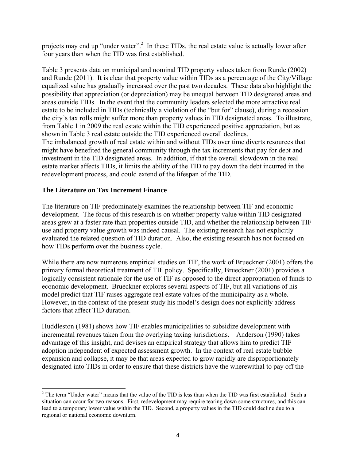projects may end up "under water".<sup>2</sup> In these TIDs, the real estate value is actually lower after four years than when the TID was first established.

Table 3 presents data on municipal and nominal TID property values taken from Runde (2002) and Runde (2011). It is clear that property value within TIDs as a percentage of the City/Village equalized value has gradually increased over the past two decades. These data also highlight the possibility that appreciation (or depreciation) may be unequal between TID designated areas and areas outside TIDs. In the event that the community leaders selected the more attractive real estate to be included in TIDs (technically a violation of the "but for" clause), during a recession the city's tax rolls might suffer more than property values in TID designated areas. To illustrate, from Table 1 in 2009 the real estate within the TID experienced positive appreciation, but as shown in Table 3 real estate outside the TID experienced overall declines. The imbalanced growth of real estate within and without TIDs over time diverts resources that might have benefited the general community through the tax increments that pay for debt and investment in the TID designated areas. In addition, if that the overall slowdown in the real estate market affects TIDs, it limits the ability of the TID to pay down the debt incurred in the redevelopment process, and could extend of the lifespan of the TID.

### **The Literature on Tax Increment Finance**

The literature on TIF predominately examines the relationship between TIF and economic development. The focus of this research is on whether property value within TID designated areas grew at a faster rate than properties outside TID, and whether the relationship between TIF use and property value growth was indeed causal. The existing research has not explicitly evaluated the related question of TID duration. Also, the existing research has not focused on how TIDs perform over the business cycle.

While there are now numerous empirical studies on TIF, the work of Brueckner (2001) offers the primary formal theoretical treatment of TIF policy. Specifically, Brueckner (2001) provides a logically consistent rationale for the use of TIF as opposed to the direct appropriation of funds to economic development. Brueckner explores several aspects of TIF, but all variations of his model predict that TIF raises aggregate real estate values of the municipality as a whole. However, in the context of the present study his model's design does not explicitly address factors that affect TID duration.

Huddleston (1981) shows how TIF enables municipalities to subsidize development with incremental revenues taken from the overlying taxing jurisdictions. Anderson (1990) takes advantage of this insight, and devises an empirical strategy that allows him to predict TIF adoption independent of expected assessment growth. In the context of real estate bubble expansion and collapse, it may be that areas expected to grow rapidly are disproportionately designated into TIDs in order to ensure that these districts have the wherewithal to pay off the

 $2^2$  The term "Under water" means that the value of the TID is less than when the TID was first established. Such a situation can occur for two reasons. First, redevelopment may require tearing down some structures, and this can lead to a temporary lower value within the TID. Second, a property values in the TID could decline due to a regional or national economic downturn.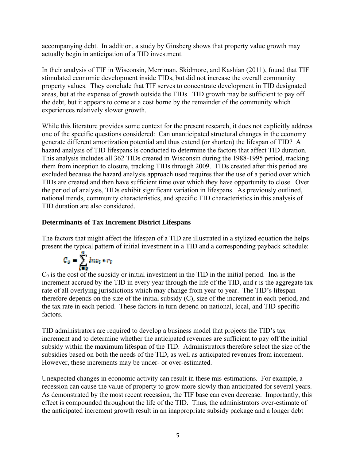accompanying debt. In addition, a study by Ginsberg shows that property value growth may actually begin in anticipation of a TID investment.

In their analysis of TIF in Wisconsin, Merriman, Skidmore, and Kashian (2011), found that TIF stimulated economic development inside TIDs, but did not increase the overall community property values. They conclude that TIF serves to concentrate development in TID designated areas, but at the expense of growth outside the TIDs. TID growth may be sufficient to pay off the debt, but it appears to come at a cost borne by the remainder of the community which experiences relatively slower growth.

While this literature provides some context for the present research, it does not explicitly address one of the specific questions considered: Can unanticipated structural changes in the economy generate different amortization potential and thus extend (or shorten) the lifespan of TID? A hazard analysis of TID lifespans is conducted to determine the factors that affect TID duration. This analysis includes all 362 TIDs created in Wisconsin during the 1988-1995 period, tracking them from inception to closure, tracking TIDs through 2009. TIDs created after this period are excluded because the hazard analysis approach used requires that the use of a period over which TIDs are created and then have sufficient time over which they have opportunity to close. Over the period of analysis, TIDs exhibit significant variation in lifespans. As previously outlined, national trends, community characteristics, and specific TID characteristics in this analysis of TID duration are also considered.

# **Determinants of Tax Increment District Lifespans**

The factors that might affect the lifespan of a TID are illustrated in a stylized equation the helps present the typical pattern of initial investment in a TID and a corresponding payback schedule:

$$
C_0 = \sum_{k=0}^{\infty} \ln c_k \bullet r_k
$$

 $C_0$  is the cost of the subsidy or initial investment in the TID in the initial period. Inc<sub>t</sub> is the increment accrued by the TID in every year through the life of the TID, and r is the aggregate tax rate of all overlying jurisdictions which may change from year to year. The TID's lifespan therefore depends on the size of the initial subsidy (C), size of the increment in each period, and the tax rate in each period. These factors in turn depend on national, local, and TID-specific factors.

TID administrators are required to develop a business model that projects the TID's tax increment and to determine whether the anticipated revenues are sufficient to pay off the initial subsidy within the maximum lifespan of the TID. Administrators therefore select the size of the subsidies based on both the needs of the TID, as well as anticipated revenues from increment. However, these increments may be under- or over-estimated.

Unexpected changes in economic activity can result in these mis-estimations. For example, a recession can cause the value of property to grow more slowly than anticipated for several years. As demonstrated by the most recent recession, the TIF base can even decrease. Importantly, this effect is compounded throughout the life of the TID. Thus, the administrators over-estimate of the anticipated increment growth result in an inappropriate subsidy package and a longer debt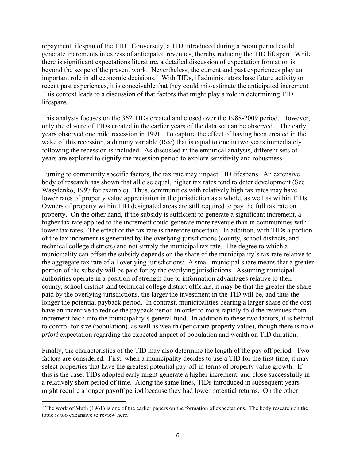repayment lifespan of the TID. Conversely, a TID introduced during a boom period could generate increments in excess of anticipated revenues, thereby reducing the TID lifespan. While there is significant expectations literature, a detailed discussion of expectation formation is beyond the scope of the present work. Nevertheless, the current and past experiences play an important role in all economic decisions.<sup>3</sup> With TIDs, if administrators base future activity on recent past experiences, it is conceivable that they could mis-estimate the anticipated increment. This context leads to a discussion of that factors that might play a role in determining TID lifespans.

This analysis focuses on the 362 TIDs created and closed over the 1988-2009 period. However, only the closure of TIDs created in the earlier years of the data set can be observed. The early years observed one mild recession in 1991. To capture the effect of having been created in the wake of this recession, a dummy variable (Rec) that is equal to one in two years immediately following the recession is included. As discussed in the empirical analysis, different sets of years are explored to signify the recession period to explore sensitivity and robustness.

Turning to community specific factors, the tax rate may impact TID lifespans. An extensive body of research has shown that all else equal, higher tax rates tend to deter development (See Wasylenko, 1997 for example). Thus, communities with relatively high tax rates may have lower rates of property value appreciation in the jurisdiction as a whole, as well as within TIDs. Owners of property within TID designated areas are still required to pay the full tax rate on property. On the other hand, if the subsidy is sufficient to generate a significant increment, a higher tax rate applied to the increment could generate more revenue than in communities with lower tax rates. The effect of the tax rate is therefore uncertain. In addition, with TIDs a portion of the tax increment is generated by the overlying jurisdictions (county, school districts, and technical college districts) and not simply the municipal tax rate. The degree to which a municipality can offset the subsidy depends on the share of the municipality's tax rate relative to the aggregate tax rate of all overlying jurisdictions: A small municipal share means that a greater portion of the subsidy will be paid for by the overlying jurisdictions. Assuming municipal authorities operate in a position of strength due to information advantages relative to their county, school district ,and technical college district officials, it may be that the greater the share paid by the overlying jurisdictions, the larger the investment in the TID will be, and thus the longer the potential payback period. In contrast, municipalities bearing a larger share of the cost have an incentive to reduce the payback period in order to more rapidly fold the revenues from increment back into the municipality's general fund. In addition to these two factors, it is helpful to control for size (population), as well as wealth (per capita property value), though there is no *a priori* expectation regarding the expected impact of population and wealth on TID duration.

Finally, the characteristics of the TID may also determine the length of the pay off period. Two factors are considered. First, when a municipality decides to use a TID for the first time, it may select properties that have the greatest potential pay-off in terms of property value growth. If this is the case, TIDs adopted early might generate a higher increment, and close successfully in a relatively short period of time. Along the same lines, TIDs introduced in subsequent years might require a longer payoff period because they had lower potential returns. On the other

 $3$  The work of Muth (1961) is one of the earlier papers on the formation of expectations. The body research on the topic is too expansive to review here.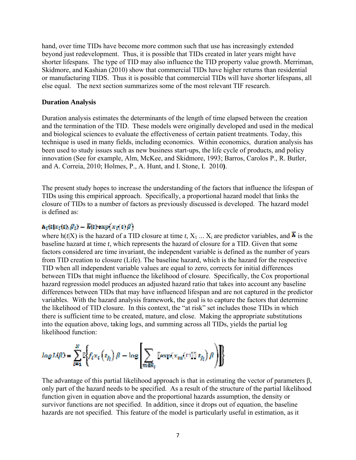hand, over time TIDs have become more common such that use has increasingly extended beyond just redevelopment. Thus, it is possible that TIDs created in later years might have shorter lifespans. The type of TID may also influence the TID property value growth. Merriman, Skidmore, and Kashian (2010) show that commercial TIDs have higher returns than residential or manufacturing TIDS. Thus it is possible that commercial TIDs will have shorter lifespans, all else equal. The next section summarizes some of the most relevant TIF research.

#### **Duration Analysis**

Duration analysis estimates the determinants of the length of time elapsed between the creation and the termination of the TID. These models were originally developed and used in the medical and biological sciences to evaluate the effectiveness of certain patient treatments. Today, this technique is used in many fields, including economics. Within economics, duration analysis has been used to study issues such as new business start-ups, the life cycle of products, and policy innovation (See for example, Alm, McKee, and Skidmore, 1993; Barros, Carolos P., R. Butler, and A. Correia, 2010; Holmes, P., A. Hunt, and I. Stone, I. 2010**)**.

The present study hopes to increase the understanding of the factors that influence the lifespan of TIDs using this empirical approach. Specifically, a proportional hazard model that links the closure of TIDs to a number of factors as previously discussed is developed. The hazard model is defined as:

# $h_i(t|x_i(t), \beta_i) - \overline{h}(t)$ exp $(x_i(t), \beta)$

where  $h(t|X)$  is the hazard of a TID closure at time *t*,  $X_1$  ...  $X_i$  are predictor variables, and  $\overline{h}$  is the baseline hazard at time *t*, which represents the hazard of closure for a TID. Given that some factors considered are time invariant, the independent variable is defined as the number of years from TID creation to closure (Life). The baseline hazard, which is the hazard for the respective TID when all independent variable values are equal to zero, corrects for initial differences between TIDs that might influence the likelihood of closure. Specifically, the Cox proportional hazard regression model produces an adjusted hazard ratio that takes into account any baseline differences between TIDs that may have influenced lifespan and are not captured in the predictor variables. With the hazard analysis framework, the goal is to capture the factors that determine the likelihood of TID closure. In this context, the "at risk" set includes those TIDs in which there is sufficient time to be created, mature, and close. Making the appropriate substitutions into the equation above, taking logs, and summing across all TIDs, yields the partial log likelihood function:

$$
log L(\beta) = \sum_{t=1}^{N} \mathbb{E}\bigg\{ f_t x_t \left( t_{f_t} \right) \beta - \log \left[ \sum_{m \in R_t} \text{[exp}(x_m(\texttt{full } t_{f_t}) \beta) \right] \bigg\}
$$

The advantage of this partial likelihood approach is that in estimating the vector of parameters  $\beta$ , only part of the hazard needs to be specified. As a result of the structure of the partial likelihood function given in equation above and the proportional hazards assumption, the density or survivor functions are not specified. In addition, since it drops out of equation, the baseline hazards are not specified. This feature of the model is particularly useful in estimation, as it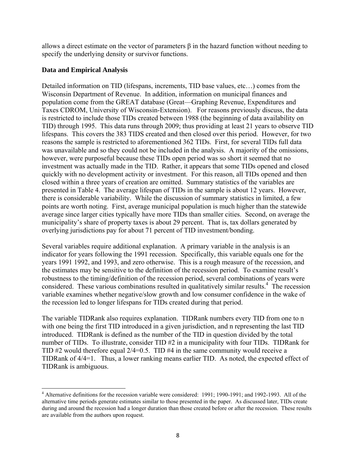allows a direct estimate on the vector of parameters  $\beta$  in the hazard function without needing to specify the underlying density or survivor functions.

## **Data and Empirical Analysis**

Detailed information on TID (lifespans, increments, TID base values, etc…) comes from the Wisconsin Department of Revenue. In addition, information on municipal finances and population come from the GREAT database (Great—Graphing Revenue, Expenditures and Taxes CDROM, University of Wisconsin-Extension). For reasons previously discuss, the data is restricted to include those TIDs created between 1988 (the beginning of data availability on TID) through 1995. This data runs through 2009; thus providing at least 21 years to observe TID lifespans. This covers the 383 TIDS created and then closed over this period. However, for two reasons the sample is restricted to aforementioned 362 TIDs. First, for several TIDs full data was unavailable and so they could not be included in the analysis. A majority of the omissions, however, were purposeful because these TIDs open period was so short it seemed that no investment was actually made in the TID. Rather, it appears that some TIDs opened and closed quickly with no development activity or investment. For this reason, all TIDs opened and then closed within a three years of creation are omitted. Summary statistics of the variables are presented in Table 4. The average lifespan of TIDs in the sample is about 12 years. However, there is considerable variability. While the discussion of summary statistics in limited, a few points are worth noting. First, average municipal population is much higher than the statewide average since larger cities typically have more TIDs than smaller cities. Second, on average the municipality's share of property taxes is about 29 percent. That is, tax dollars generated by overlying jurisdictions pay for about 71 percent of TID investment/bonding.

Several variables require additional explanation. A primary variable in the analysis is an indicator for years following the 1991 recession. Specifically, this variable equals one for the years 1991 1992, and 1993, and zero otherwise. This is a rough measure of the recession, and the estimates may be sensitive to the definition of the recession period. To examine result's robustness to the timing/definition of the recession period, several combinations of years were considered. These various combinations resulted in qualitatively similar results.<sup>4</sup> The recession variable examines whether negative/slow growth and low consumer confidence in the wake of the recession led to longer lifespans for TIDs created during that period.

The variable TIDRank also requires explanation. TIDRank numbers every TID from one to n with one being the first TID introduced in a given jurisdiction, and n representing the last TID introduced. TIDRank is defined as the number of the TID in question divided by the total number of TIDs. To illustrate, consider TID #2 in a municipality with four TIDs. TIDRank for TID #2 would therefore equal 2/4=0.5. TID #4 in the same community would receive a TIDRank of 4/4=1. Thus, a lower ranking means earlier TID. As noted, the expected effect of TIDRank is ambiguous.

<sup>&</sup>lt;sup>4</sup> Alternative definitions for the recession variable were considered: 1991; 1990-1991; and 1992-1993. All of the alternative time periods generate estimates similar to those presented in the paper. As discussed later, TIDs create during and around the recession had a longer duration than those created before or after the recession. These results are available from the authors upon request.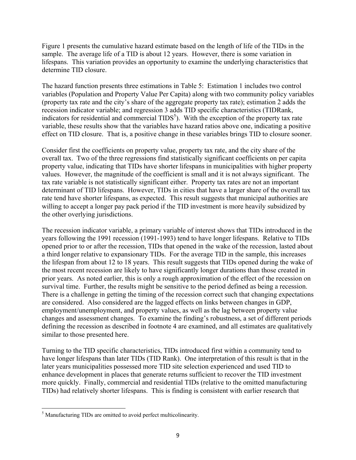Figure 1 presents the cumulative hazard estimate based on the length of life of the TIDs in the sample. The average life of a TID is about 12 years. However, there is some variation in lifespans. This variation provides an opportunity to examine the underlying characteristics that determine TID closure.

The hazard function presents three estimations in Table 5: Estimation 1 includes two control variables (Population and Property Value Per Capita) along with two community policy variables (property tax rate and the city's share of the aggregate property tax rate); estimation 2 adds the recession indicator variable; and regression 3 adds TID specific characteristics (TIDRank, indicators for residential and commercial  $TIDS<sup>5</sup>$ ). With the exception of the property tax rate variable, these results show that the variables have hazard ratios above one, indicating a positive effect on TID closure. That is, a positive change in these variables brings TID to closure sooner.

Consider first the coefficients on property value, property tax rate, and the city share of the overall tax. Two of the three regressions find statistically significant coefficients on per capita property value, indicating that TIDs have shorter lifespans in municipalities with higher property values. However, the magnitude of the coefficient is small and it is not always significant. The tax rate variable is not statistically significant either. Property tax rates are not an important determinant of TID lifespans.However, TIDs in cities that have a larger share of the overall tax rate tend have shorter lifespans, as expected. This result suggests that municipal authorities are willing to accept a longer pay pack period if the TID investment is more heavily subsidized by the other overlying jurisdictions.

The recession indicator variable, a primary variable of interest shows that TIDs introduced in the years following the 1991 recession (1991-1993) tend to have longer lifespans. Relative to TIDs opened prior to or after the recession, TIDs that opened in the wake of the recession, lasted about a third longer relative to expansionary TIDs. For the average TID in the sample, this increases the lifespan from about 12 to 18 years. This result suggests that TIDs opened during the wake of the most recent recession are likely to have significantly longer durations than those created in prior years. As noted earlier, this is only a rough approximation of the effect of the recession on survival time. Further, the results might be sensitive to the period defined as being a recession. There is a challenge in getting the timing of the recession correct such that changing expectations are considered. Also considered are the lagged effects on links between changes in GDP, employment/unemployment, and property values, as well as the lag between property value changes and assessment changes. To examine the finding's robustness, a set of different periods defining the recession as described in footnote 4 are examined, and all estimates are qualitatively similar to those presented here.

Turning to the TID specific characteristics, TIDs introduced first within a community tend to have longer lifespans than later TIDs (TID Rank). One interpretation of this result is that in the later years municipalities possessed more TID site selection experienced and used TID to enhance development in places that generate returns sufficient to recover the TID investment more quickly. Finally, commercial and residential TIDs (relative to the omitted manufacturing TIDs) had relatively shorter lifespans. This is finding is consistent with earlier research that

 <sup>5</sup> Manufacturing TIDs are omitted to avoid perfect multicolinearity.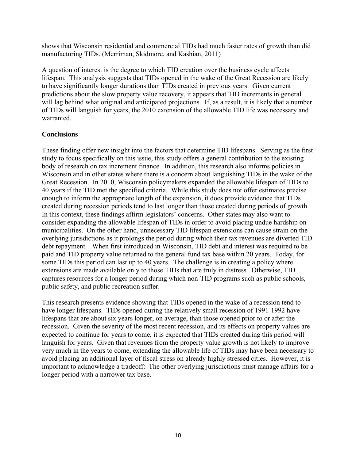shows that Wisconsin residential and commercial TIDs had much faster rates of growth than did manufacturing TIDs. (Merriman, Skidmore, and Kashian, 2011)

A question of interest is the degree to which TID creation over the business cycle affects lifespan. This analysis suggests that TIDs opened in the wake of the Great Recession are likely to have significantly longer durations than TIDs created in previous years. Given current predictions about the slow property value recovery, it appears that TID increments in general will lag behind what original and anticipated projections. If, as a result, it is likely that a number of TIDs will languish for years, the 2010 extension of the allowable TID life was necessary and warranted.

# **Conclusions**

These finding offer new insight into the factors that determine TID lifespans. Serving as the first study to focus specifically on this issue, this study offers a general contribution to the existing body of research on tax increment finance. In addition, this research also informs policies in Wisconsin and in other states where there is a concern about languishing TIDs in the wake of the Great Recession. In 2010, Wisconsin policymakers expanded the allowable lifespan of TIDs to 40 years if the TID met the specified criteria. While this study does not offer estimates precise enough to inform the appropriate length of the expansion, it does provide evidence that TIDs created during recession periods tend to last longer than those created during periods of growth. In this context, these findings affirm legislators' concerns. Other states may also want to consider expanding the allowable lifespan of TIDs in order to avoid placing undue hardship on municipalities. On the other hand, unnecessary TID lifespan extensions can cause strain on the overlying jurisdictions as it prolongs the period during which their tax revenues are diverted TID debt repayment. When first introduced in Wisconsin, TID debt and interest was required to be paid and TID property value returned to the general fund tax base within 20 years. Today, for some TIDs this period can last up to 40 years. The challenge is in creating a policy where extensions are made available only to those TIDs that are truly in distress. Otherwise, TID captures resources for a longer period during which non-TID programs such as public schools, public safety, and public recreation suffer.

This research presents evidence showing that TIDs opened in the wake of a recession tend to have longer lifespans. TIDs opened during the relatively small recession of 1991-1992 have lifespans that are about six years longer, on average, than those opened prior to or after the recession. Given the severity of the most recent recession, and its effects on property values are expected to continue for years to come, it is expected that TIDs created during this period will languish for years. Given that revenues from the property value growth is not likely to improve very much in the years to come, extending the allowable life of TIDs may have been necessary to avoid placing an additional layer of fiscal stress on already highly stressed cities. However, it is important to acknowledge a tradeoff: The other overlying jurisdictions must manage affairs for a longer period with a narrower tax base.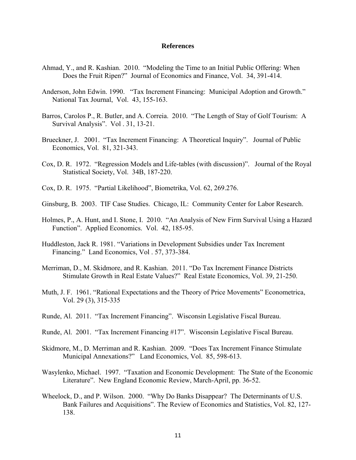#### **References**

- Ahmad, Y., and R. Kashian. 2010. "Modeling the Time to an Initial Public Offering: When Does the Fruit Ripen?" Journal of Economics and Finance, Vol. 34, 391-414.
- Anderson, John Edwin. 1990. "Tax Increment Financing: Municipal Adoption and Growth." National Tax Journal, Vol. 43, 155-163.
- Barros, Carolos P., R. Butler, and A. Correia. 2010. "The Length of Stay of Golf Tourism: A Survival Analysis". Vol . 31, 13-21.
- Brueckner, J. 2001. "Tax Increment Financing: A Theoretical Inquiry". Journal of Public Economics, Vol. 81, 321-343.
- Cox, D. R. 1972. "Regression Models and Life-tables (with discussion)". Journal of the Royal Statistical Society, Vol. 34B, 187-220.
- Cox, D. R. 1975. "Partial Likelihood", Biometrika, Vol. 62, 269.276.
- Ginsburg, B. 2003. TIF Case Studies. Chicago, IL: Community Center for Labor Research.
- Holmes, P., A. Hunt, and I. Stone, I. 2010. "An Analysis of New Firm Survival Using a Hazard Function". Applied Economics. Vol. 42, 185-95.
- Huddleston, Jack R. 1981. "Variations in Development Subsidies under Tax Increment Financing." Land Economics, Vol . 57, 373-384.
- Merriman, D., M. Skidmore, and R. Kashian. 2011. "Do Tax Increment Finance Districts Stimulate Growth in Real Estate Values?" Real Estate Economics, Vol. 39, 21-250.
- Muth, J. F. 1961. "Rational Expectations and the Theory of Price Movements" Econometrica, Vol. 29 (3), 315-335
- Runde, Al. 2011. "Tax Increment Financing". Wisconsin Legislative Fiscal Bureau.
- Runde, Al. 2001. "Tax Increment Financing #17". Wisconsin Legislative Fiscal Bureau.
- Skidmore, M., D. Merriman and R. Kashian. 2009. "Does Tax Increment Finance Stimulate Municipal Annexations?" Land Economics, Vol. 85, 598-613.
- Wasylenko, Michael. 1997. "Taxation and Economic Development: The State of the Economic Literature". New England Economic Review, March-April, pp. 36-52.
- Wheelock, D., and P. Wilson. 2000. "Why Do Banks Disappear? The Determinants of U.S. Bank Failures and Acquisitions". The Review of Economics and Statistics, Vol. 82, 127- 138.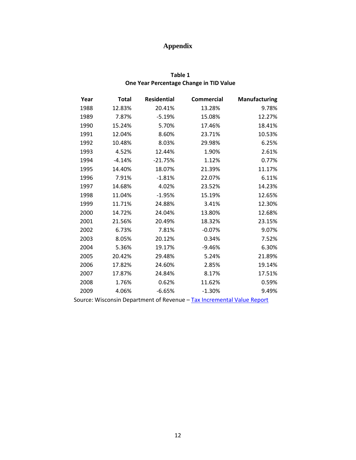# **Appendix**

# **Table 1 One Year Percentage Change in TID Value**

| Year                                                                   | <b>Total</b> | <b>Residential</b> | <b>Commercial</b> | <b>Manufacturing</b> |
|------------------------------------------------------------------------|--------------|--------------------|-------------------|----------------------|
| 1988                                                                   | 12.83%       | 20.41%             | 13.28%            | 9.78%                |
| 1989                                                                   | 7.87%        | $-5.19%$           | 15.08%            | 12.27%               |
| 1990                                                                   | 15.24%       | 5.70%              | 17.46%            | 18.41%               |
| 1991                                                                   | 12.04%       | 8.60%              | 23.71%            | 10.53%               |
| 1992                                                                   | 10.48%       | 8.03%              | 29.98%            | 6.25%                |
| 1993                                                                   | 4.52%        | 12.44%             | 1.90%             | 2.61%                |
| 1994                                                                   | $-4.14%$     | $-21.75%$          | 1.12%             | 0.77%                |
| 1995                                                                   | 14.40%       | 18.07%             | 21.39%            | 11.17%               |
| 1996                                                                   | 7.91%        | $-1.81%$           | 22.07%            | 6.11%                |
| 1997                                                                   | 14.68%       | 4.02%              | 23.52%            | 14.23%               |
| 1998                                                                   | 11.04%       | $-1.95%$           | 15.19%            | 12.65%               |
| 1999                                                                   | 11.71%       | 24.88%             | 3.41%             | 12.30%               |
| 2000                                                                   | 14.72%       | 24.04%             | 13.80%            | 12.68%               |
| 2001                                                                   | 21.56%       | 20.49%             | 18.32%            | 23.15%               |
| 2002                                                                   | 6.73%        | 7.81%              | $-0.07%$          | 9.07%                |
| 2003                                                                   | 8.05%        | 20.12%             | 0.34%             | 7.52%                |
| 2004                                                                   | 5.36%        | 19.17%             | $-9.46%$          | 6.30%                |
| 2005                                                                   | 20.42%       | 29.48%             | 5.24%             | 21.89%               |
| 2006                                                                   | 17.82%       | 24.60%             | 2.85%             | 19.14%               |
| 2007                                                                   | 17.87%       | 24.84%             | 8.17%             | 17.51%               |
| 2008                                                                   | 1.76%        | 0.62%              | 11.62%            | 0.59%                |
| 2009                                                                   | 4.06%        | $-6.65%$           | $-1.30%$          | 9.49%                |
| Source: Wisconsin Department of Revenue - Tax Incremental Value Report |              |                    |                   |                      |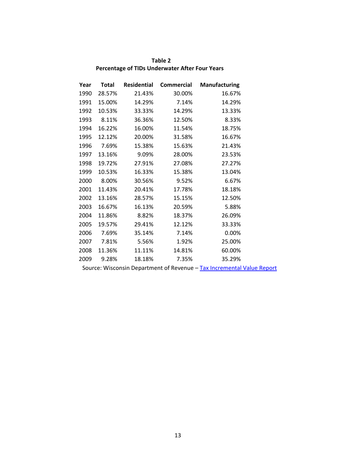| Table 2                                        |
|------------------------------------------------|
| Percentage of TIDs Underwater After Four Years |

| Year | Total  | <b>Residential</b> | <b>Commercial</b> | <b>Manufacturing</b> |
|------|--------|--------------------|-------------------|----------------------|
| 1990 | 28.57% | 21.43%             | 30.00%            | 16.67%               |
| 1991 | 15.00% | 14.29%             | 7.14%             | 14.29%               |
| 1992 | 10.53% | 33.33%             | 14.29%            | 13.33%               |
| 1993 | 8.11%  | 36.36%             | 12.50%            | 8.33%                |
| 1994 | 16.22% | 16.00%             | 11.54%            | 18.75%               |
| 1995 | 12.12% | 20.00%             | 31.58%            | 16.67%               |
| 1996 | 7.69%  | 15.38%             | 15.63%            | 21.43%               |
| 1997 | 13.16% | 9.09%              | 28.00%            | 23.53%               |
| 1998 | 19.72% | 27.91%             | 27.08%            | 27.27%               |
| 1999 | 10.53% | 16.33%             | 15.38%            | 13.04%               |
| 2000 | 8.00%  | 30.56%             | 9.52%             | 6.67%                |
| 2001 | 11.43% | 20.41%             | 17.78%            | 18.18%               |
| 2002 | 13.16% | 28.57%             | 15.15%            | 12.50%               |
| 2003 | 16.67% | 16.13%             | 20.59%            | 5.88%                |
| 2004 | 11.86% | 8.82%              | 18.37%            | 26.09%               |
| 2005 | 19.57% | 29.41%             | 12.12%            | 33.33%               |
| 2006 | 7.69%  | 35.14%             | 7.14%             | 0.00%                |
| 2007 | 7.81%  | 5.56%              | 1.92%             | 25.00%               |
| 2008 | 11.36% | 11.11%             | 14.81%            | 60.00%               |
| 2009 | 9.28%  | 18.18%             | 7.35%             | 35.29%               |

Source: Wisconsin Department of Revenue - Tax Incremental Value Report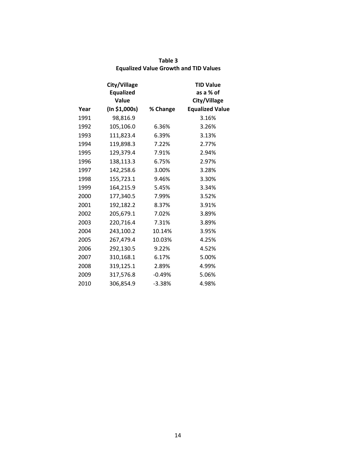|      | City/Village<br><b>Equalized</b><br>Value |          | <b>TID Value</b><br>as a % of<br>City/Village |
|------|-------------------------------------------|----------|-----------------------------------------------|
| Year | (In \$1,000s)                             | % Change | <b>Equalized Value</b>                        |
| 1991 | 98,816.9                                  |          | 3.16%                                         |
| 1992 | 105,106.0                                 | 6.36%    | 3.26%                                         |
| 1993 | 111,823.4                                 | 6.39%    | 3.13%                                         |
| 1994 | 119,898.3                                 | 7.22%    | 2.77%                                         |
| 1995 | 129,379.4                                 | 7.91%    | 2.94%                                         |
| 1996 | 138,113.3                                 | 6.75%    | 2.97%                                         |
| 1997 | 142,258.6                                 | 3.00%    | 3.28%                                         |
| 1998 | 155,723.1                                 | 9.46%    | 3.30%                                         |
| 1999 | 164,215.9                                 | 5.45%    | 3.34%                                         |
| 2000 | 177,340.5                                 | 7.99%    | 3.52%                                         |
| 2001 | 192,182.2                                 | 8.37%    | 3.91%                                         |
| 2002 | 205,679.1                                 | 7.02%    | 3.89%                                         |
| 2003 | 220,716.4                                 | 7.31%    | 3.89%                                         |
| 2004 | 243,100.2                                 | 10.14%   | 3.95%                                         |
| 2005 | 267,479.4                                 | 10.03%   | 4.25%                                         |
| 2006 | 292,130.5                                 | 9.22%    | 4.52%                                         |
| 2007 | 310,168.1                                 | 6.17%    | 5.00%                                         |
| 2008 | 319,125.1                                 | 2.89%    | 4.99%                                         |
| 2009 | 317,576.8                                 | $-0.49%$ | 5.06%                                         |
| 2010 | 306,854.9                                 | $-3.38%$ | 4.98%                                         |

| Table 3                                      |  |
|----------------------------------------------|--|
| <b>Equalized Value Growth and TID Values</b> |  |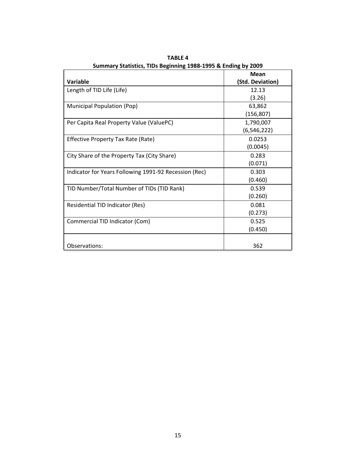|                                                       | <b>Mean</b>      |
|-------------------------------------------------------|------------------|
| Variable                                              | (Std. Deviation) |
| Length of TID Life (Life)                             | 12.13            |
|                                                       | (3.26)           |
| Municipal Population (Pop)                            | 63,862           |
|                                                       | (156, 807)       |
| Per Capita Real Property Value (ValuePC)              | 1,790,007        |
|                                                       | (6, 546, 222)    |
| Effective Property Tax Rate (Rate)                    | 0.0253           |
|                                                       | (0.0045)         |
| City Share of the Property Tax (City Share)           | 0.283            |
|                                                       | (0.071)          |
| Indicator for Years Following 1991-92 Recession (Rec) | 0.303            |
|                                                       | (0.460)          |
| TID Number/Total Number of TIDs (TID Rank)            | 0.539            |
|                                                       | (0.260)          |
| Residential TID Indicator (Res)                       | 0.081            |
|                                                       | (0.273)          |
| Commercial TID Indicator (Com)                        | 0.525            |
|                                                       | (0.450)          |
|                                                       |                  |
| Observations:                                         | 362              |

**TABLE 4 Summary Statistics, TIDs Beginning 1988‐1995 & Ending by 2009**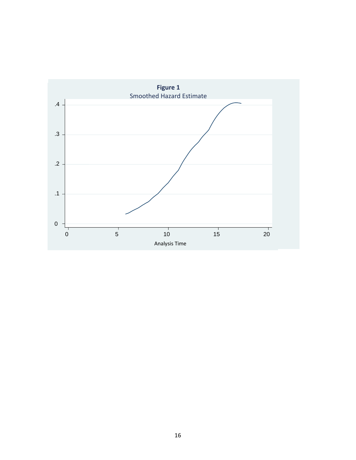